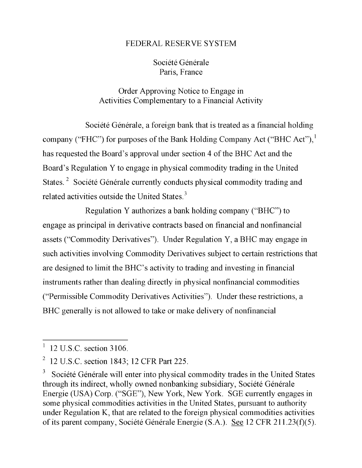## FEDERAL RESERVE SYSTEM

## Société Générale Paris, France

## Order Approving Notice to Engage in Activities Complementary to a Financial Activity

Société Générale, a foreign bank that is treated as a financial holding company ("FHC") for purposes of the Bank Holding Company Act ("BHC Act"), $^1$ has requested the Board's approval under section 4 of the BHC Act and the Board's Regulation Y to engage in physical commodity trading in the United States.<sup>2</sup> Société Générale currently conducts physical commodity trading and related activities outside the United States. $3$ 

Regulation Y authorizes a bank holding company ("BHC") to engage as principal in derivative contracts based on financial and nonfinancial commodity trades in the United States through its indirect, wholly owned nonbanking assets ("Commodity Derivatives"). Under Regulation  $\mathbf{Y}, \mathbf{a}$  BHC may engage in such activities involving Commodity Derivatives subject to certain restrictions that pursuant to authority under Regulation K, that are related to the foreign physical are designed to limit the BHC's activity to trading and investing in financial instruments rather than dealing directly in physical nonfinancial commodities ("Permissible Commodity Derivatives Activities"). Under these restrictions, a BHC generally is not allowed to take or make delivery of nonfinancial

 $12$  U.S.C. section 3106.

<sup>12</sup> U.S.C. section 1843; 12 CFR Part 225.

Société Générale will enter into physical commodity trades in the United States through its indirect, wholly owned nonbanking subsidiary, Société Générale Energie (USA) Corp. ("SGE"), New York, New York. SGE currently engages in some physical commodities activities in the United States, pursuant to authority under Regulation K, that are related to the foreign physical commodities activities of its parent company, Société Générale Energie (S.A.). See 12 CFR 211.23(f)(5).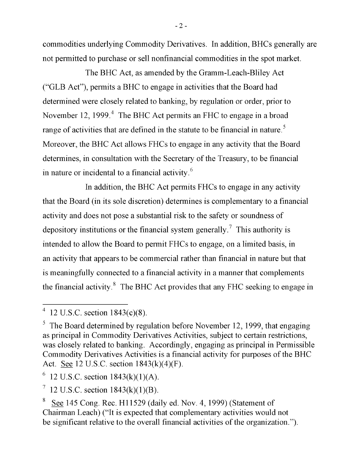commodities underlying Commodity Derivatives. In addition, BHCs generally are not permitted to purchase or sell nonfinancial commodities in the spot market.

The BHC Act, as amended by the Gramm-Leach-Bliley Act  $CCTB \text{ A}ct"$ ), permits a BHC to engage in activities that the Board had  $\left($  OLD Text  $\mu$ , permits a DTC to engage in activities that the Doard had determined were closely related to banking, by regulation or order, prior to  $\begin{array}{cc} \text{F} & \text{F} & \text{F} & \text{F} & \text{F} & \text{F} & \text{F} & \text{F} & \text{F} & \text{F} & \text{F} & \text{F} & \text{F} & \text{F} & \text{F} & \text{F} & \text{F} & \text{F} & \text{F} & \text{F} & \text{F} & \text{F} & \text{F} & \text{F} & \text{F} & \text{F} & \text{F} & \text{F} & \text{F} & \text{F} & \text{F} & \text{F} & \text{F} & \text{F} & \text{F} & \text{$ range of activities that are defined in the statute to be financial in nature. Moreover, the BHC Act allows FHCs to engage in any activity that the Board principal in Commodity Derivatives Activities, subject to certain restrictions, determines, in consultation with the Secretary of the Treasury, to be financial in nature or incidental to a financial activity. $6$  $\mathcal{L}$ 

In addition, the BHC Act permits FHCs to engage in any activity that the Board (in its sole discretion) determines is complementary to a finit  $\sum_{i=1}^{\infty}$  financial activity.  $\sum_{i=1}^{\infty}$  for  $\sum_{i=1}^{\infty}$  sections  $\sum_{i=1}^{\infty}$  sections for  $\sum_{i=1}^{\infty}$ activity and does not pose a substantial risk to the safety or soundness of depository institutions or the financial system generally.<sup>7</sup> This authority is  $t_{\rm F}$  intended to allow the Board to permit  $\rm EHC$ s to angoge, on a limited basis in  $\mu$  and does not not be posed to positivity to  $\mu$  a substantial risk of  $\mu$  substantial risk to  $\mu$ an activity that appears to be commercial rather than financial in nature but that  $\frac{1}{2}$  u.s. section  $\frac{1}{2}$  and  $\frac{1}{2}$ . Equation  $\frac{1}{2}$ . En authority is integrated that as used we are to incaring fully connected to a financial activity in a manner that complement the financial activity. $8\text{ }$  The BHC Act provides that any FHC seeking to engage in

- 2 -

 $\frac{1}{\sqrt{8.5556}}$  $12 \text{ U.S.C.}$  section  $1843(c)(8)$ .

 $5$  The Board determined by regulation before November 12, 1999, that engaging as principal in Commodity Derivatives Activities, subject to certain restrictions, was closely related to banking. Accordingly, engaging as principal in Permissible Commodity Derivatives Activities is a financial activity for purposes of the BHC Act. See 12 U.S.C. section 1843(k)(4)(F).

<sup>12</sup> U.S.C. section  $1843(k)(1)(A)$ .

<sup>12</sup> U.S.C. section  $1843(k)(1)(B)$ .  $\mathcal{I}_{\mathcal{I}}$ 

See 145 Cong. Rec. H11529 (daily ed. Nov. 4, 1999) (Statement of 8 Chairman Leach) ("It is expected that complementary activities would not be significant relative to the overall financial activities of the organization.").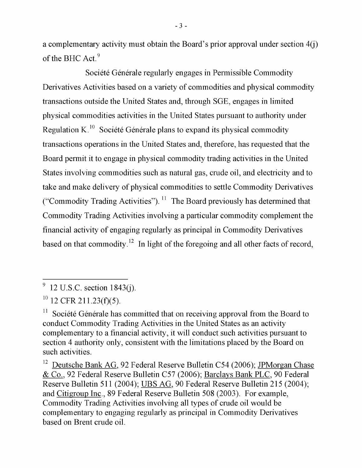a complementary activity must obtain the Board's prior approval under section 4(j) of the BHC Act. $9$ 

Société Générale regularly engages in Permissible Commodity Derivatives Activities based on a variety of commodities and physical commodity Derivatives Activities based on a variety of commodities and physical comm transactions outside the United States and, through SGE, engages in limited physical commodities activities in the United States pursuant to authority under Regulation K.<sup>10</sup> Société Générale plans to expand its physical commodity transactions operations in the United States and, therefore, has requested that the Board permit it to engage in physical commodity trading activities in the United States involving commodities such as natural gas, crude oil, and electricity and to take and make delivery of physical commodities to settle Commodity Derivatives ("Commodity Trading Activities").  $^{11}$  The Board previously has determined that Commodity Trading Activities involving a particular commodity complement the  $\alpha$  in the United States as an activity complementary to a financial activity complementary to a financial activity, it will be a final activity, it will be a final activity, it will be a final activity, it will be a fin tinancial activity of engaging regularly as principal in Commodity Derivatives based on that commodity.<sup>12</sup> In light of the foregoing and all other facts of record, previously has determined that Commodity Trading Activities involving a particular

- 3 -

 $\overline{B}$  $92 \text{ U.S.C. section 1843(j)}.$ 

 $R^{10}$  12 CFR 211.23(f)(5).

 $11$  Société Générale has committed that on receiving approval from the Board to conduct Commodity Trading Activities in the United States as an activity complementary to a financial activity, it will conduct such activities pursuant to section 4 authority only, consistent with the limitations placed by the Board on  $\mathcal{S}$ .

<sup>12</sup> Deutsche Bank AG, 92 Federal Reserve Bulletin C54 (2006); JPMorgan Chase & Co., 92 Federal Reserve Bulletin C57 (2006); Barclays Bank PLC, 90 Federal Reserve Bulletin 511 (2004); UBS AG, 90 Federal Reserve Bulletin 215 (2004); and Citigroup Inc., 89 Federal Reserve Bulletin 508 (2003). For example, Commodity Trading Activities involving all types of crude oil would be complementary to engaging regularly as principal in Commodity Derivatives based on Brent crude oil.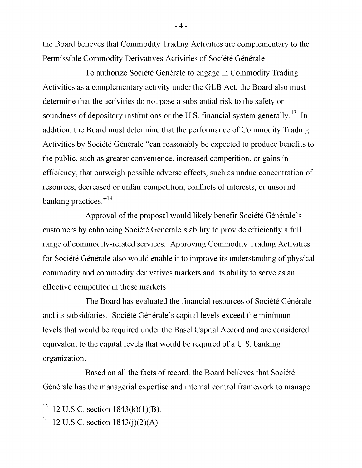the Board believes that Commodity Trading Activities are complementary to the Permissible Commodity Derivatives Activities of Société Générale.

To authorize Société Générale to engage in Commodity Trading Activities as a complementary activity under the GLB Act, the Board also must determine that the activities do not pose a substantial risk to the safety or soundness of depository institutions or the U.S. financial system generally.<sup>13</sup> In addition, the Board must determine that the performance of Commodity Trading. Activities by Société Générale "can reasonably be expected to produce benefits to the public, such as greater convenience, increased competition, or gains in efficiency, that outweigh possible adverse effects, such as undue concentration of resources, decreased or unfair competition, conflicts of interests, or unsound banking practices. $14$ 

Approval of the proposal would likely benefit Société Générale's Footnote 14.] customers by enhancing Société Générale's ability to provide efficiently a full range of commodity-related services. Approving Commodity Trading Activities for Société Générale also would enable it to improve its understanding of physical commodity and commodity derivatives markets and its ability to serve as an effective competitor in those markets.

The Board has evaluated the financial resources of Société Générale and its subsidiaries. Société Générale's capital levels exceed the minimum levels that would be required under the Basel Capital Accord and are considered equivalent to the capital levels that would be required of a U.S. banking organization.

organization. Générale has the managerial expertise and internal control framework to manage

- 4 -

 $13 \text{ 12 U.S.C. section } 1843(k)(1)(B)$ .

<sup>&</sup>lt;sup>14</sup> 12 U.S.C. section  $1843(j)(2)(A)$ .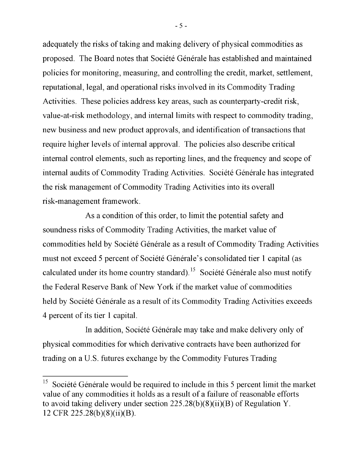adequately the risks of taking and making delivery of physical commodities as proposed. The Board notes that Société Générale has established and maintained policies for monitoring, measuring, and controlling the credit, market, settlement, reputational, legal, and operational risks involved in its Commodity Trading Activities. These policies address key areas, such as counterparty-credit risk, value-at-risk methodology, and internal limits with respect to commodity trading, new business and new product approvals, and identification of transactions that require higher levels of internal approval. The policies also describe critical internal control elements, such as reporting lines, and the frequency and scope of internal audits of Commodity Trading Activities. Société Générale has integrated the risk management of Commodity Trading Activities into its overall risk-management framework.

As a condition of this order, to limit the potential safety and soundness risks of Commodity Trading Activities, the market value of soundhoss head of Commodity Trading Additions, the market value of commodities held by Société Générale as a result of Commodity Trading Activities must not exceed 5 percent of Société Générale's consolidated tier 1 capital (as calculated under its home country standard).<sup>15</sup> Société Générale also must notify  $\begin{bmatrix} 1 & \pi & 1 & 1 \\ \pi & 1 & 1 & \pi & 1 \\ \end{bmatrix}$ the Federal Reserve Bank of New York if the market value of commodities held by Société Générale as a result of its Commodity Trading Activities exceeds 4 percent of its tier 1 capital.

In addition, Société Générale may take and make delivery only of physical commodities for which derivative contracts have been authorized for trading on a U.S. futures exchange by the Commodity Futures Trading.

- 5 -

 $15$  Société Générale would be required to include in this 5 percent limit the market value of any commodities it holds as a result of a failure of reasonable efforts to avoid taking delivery under section  $225.28(b)(8)(ii)(B)$  of Regulation Y. 12 CFR 225.28(b)(8)(ii)(B).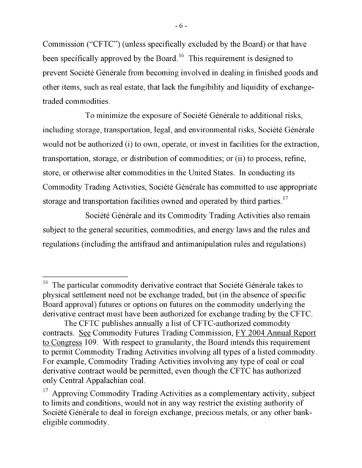Commission ("CFTC") (unless specifically excluded by the Board) or that have been specifically approved by the Board.  $^{16}$  This particular in decision of the  $\alpha$ commodity approved by the Board. This requirement is designed to preprevent Société Générale from becoming involved in dealing in finished goods and futures or options on futures on the commodity underlying the derivative contract must be a contracted for the contract must be controlled for the CFTC. traded commodities.

To minimize the exposure of Société Générale to additional risks, including storage, transportation, legal, and environmental risks, Société Générale would not be authorized (i) to own, operate, or invest in facilities for the extraction, transportation, storage, or distribution of commodities; or (ii) to process, refine, store, or otherwise alter commodities in the United States. In conducting its Commodity Trading Activities, Société Générale has committed to use appropriate storage and transportation facilities owned and operated by third parties.<sup>17</sup>

Société Générale and its Commodity Trading Activities also remain subject to the general securities, commodities, and energy laws and the rules and regulations (including the antifraud and antimanipulation rules and regulations)

 $16$  The particular commodity derivative contract that Société Générale takes to physical settlement need not be exchange traded, but (in the absence of specific Board approval) futures or options on futures on the commodity underlying the derivative contract must have been authorized for exchange trading by the CFTC.

The CFTC publishes annually a list of CFTC-authorized commodity contracts. See Commodity Futures Trading Commission, FY 2004 Annual Report to Congress 109. With respect to granularity, the Board intends this requirement to permit Commodity Trading Activities involving all types of a listed commodity.<br>For example, Commodity Trading Activities involving any type of coal or coal derivative contract would be permitted, even though the CFTC has authorized

only Central Appalachian coal.<br><sup>17</sup> Approving Commodity Trading Activities as a complementary activity, subject to limits and conditions, would not in any way restrict the existing authority of Société Générale to deal in foreign exchange, precious metals, or any other bankeligible commodity.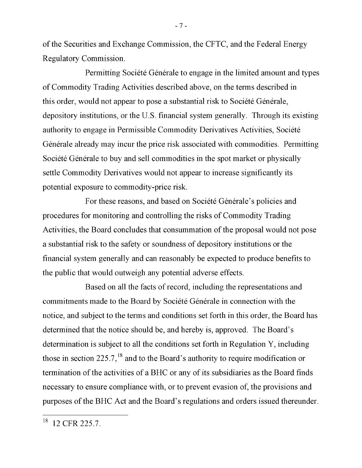of the Securities and Exchange Commission, the CFTC, and the Federal Energy Regulatory Commission.

Permitting Société Générale to engage in the limited amount and types of Commodity Trading Activities described above, on the terms described in this order, would not appear to pose a substantial risk to Société Générale, depository institutions, or the U.S. financial system generally. Through its existing authority to engage in Permissible Commodity Derivatives Activities, Société Générale already may incur the price risk associated with commodities. Permitting Société Générale to buy and sell commodities in the spot market or physically settle Commodity Derivatives would not appear to increase significantly its potential exposure to commodity-price risk.

For these reasons, and based on Société Générale's policies and procedures for monitoring and controlling the risks of Commodity Trading Activities, the Board concludes that consummation of the proposal would not pose a substantial risk to the safety or soundness of depository institutions or the financial system generally and can reasonably be expected to produce benefits to the public that would outweigh any potential adverse effects.

Based on all the facts of record, including the representations and commitments made to the Board by Société Générale in connection with the notice, and subject to the terms and conditions set forth in this order, the Board has determined that the notice should be, and hereby is, approved. The Board's determination is subject to all the conditions set forth in Regulation Y, including those in section 225.7,  $^{18}$  and to the Board's authority to require modification or termination of the activities of a BHC or any of its subsidiaries as the Board finds necessary to ensure compliance with, or to prevent evasion of, the provisions and purposes of the BHC Act and the Board's regulations and orders issued thereunder.

BHC Act and the Board's regulations and orders issued thereunder.

- 7 -